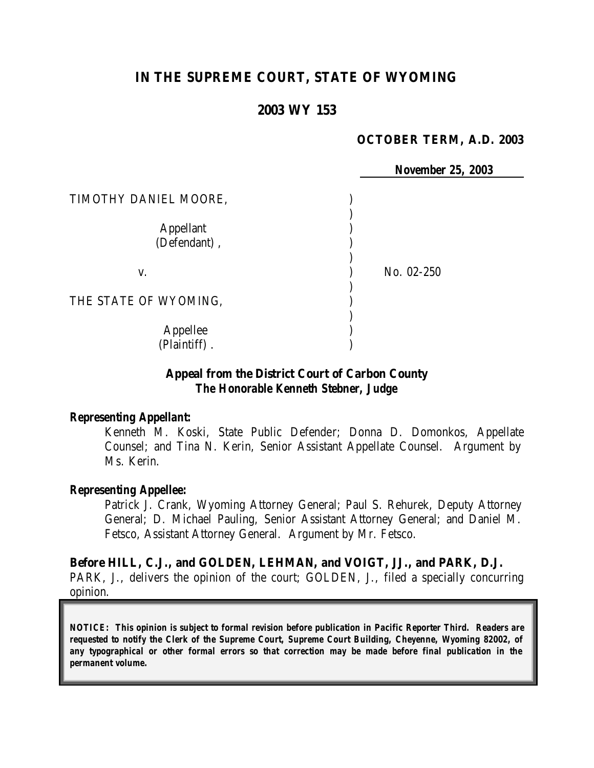## **IN THE SUPREME COURT, STATE OF WYOMING**

#### **2003 WY 153**

#### **OCTOBER TERM, A.D. 2003**

|                                  | <b>November 25, 2003</b> |
|----------------------------------|--------------------------|
| TIMOTHY DANIEL MOORE,            |                          |
| <b>Appellant</b><br>(Defendant), |                          |
| V.                               | No. 02-250               |
| THE STATE OF WYOMING,            |                          |
| Appellee<br>(Plaintiff).         |                          |

#### **Appeal from the District Court of Carbon County** *The Honorable Kenneth Stebner, Judge*

#### *Representing Appellant:*

Kenneth M. Koski, State Public Defender; Donna D. Domonkos, Appellate Counsel; and Tina N. Kerin, Senior Assistant Appellate Counsel. Argument by Ms. Kerin.

#### *Representing Appellee:*

Patrick J. Crank, Wyoming Attorney General; Paul S. Rehurek, Deputy Attorney General; D. Michael Pauling, Senior Assistant Attorney General; and Daniel M. Fetsco, Assistant Attorney General. Argument by Mr. Fetsco.

### **Before HILL, C.J., and GOLDEN, LEHMAN, and VOIGT, JJ., and PARK, D.J.** PARK, J., delivers the opinion of the court; GOLDEN, J., filed a specially concurring opinion.

*NOTICE: This opinion is subject to formal revision before publication in Pacific Reporter Third. Readers are requested to notify the Clerk of the Supreme Court, Supreme Court Building, Cheyenne, Wyoming 82002, of any typographical or other formal errors so that correction may be made before final publication in the permanent volume.*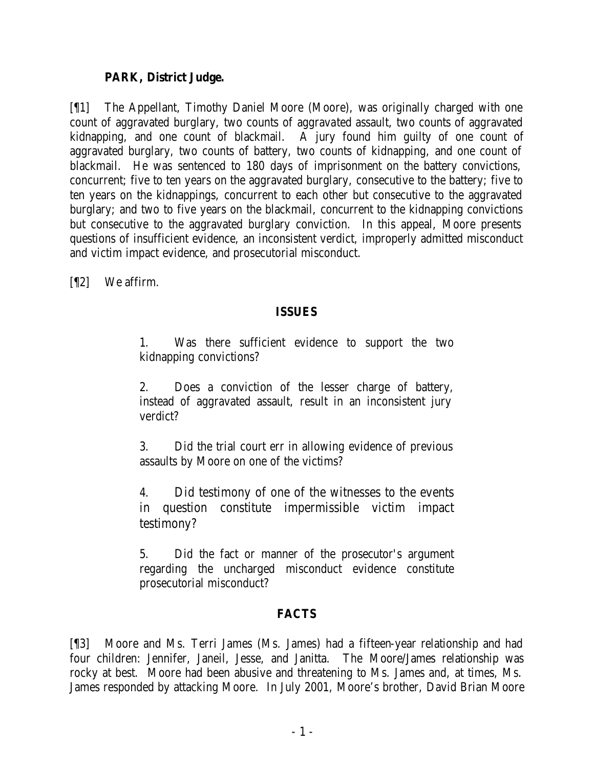### **PARK, District Judge.**

[¶1] The Appellant, Timothy Daniel Moore (Moore), was originally charged with one count of aggravated burglary, two counts of aggravated assault, two counts of aggravated kidnapping, and one count of blackmail. A jury found him guilty of one count of aggravated burglary, two counts of battery, two counts of kidnapping, and one count of blackmail. He was sentenced to 180 days of imprisonment on the battery convictions, concurrent; five to ten years on the aggravated burglary, consecutive to the battery; five to ten years on the kidnappings, concurrent to each other but consecutive to the aggravated burglary; and two to five years on the blackmail, concurrent to the kidnapping convictions but consecutive to the aggravated burglary conviction. In this appeal, Moore presents questions of insufficient evidence, an inconsistent verdict, improperly admitted misconduct and victim impact evidence, and prosecutorial misconduct.

[¶2] We affirm.

### **ISSUES**

1. Was there sufficient evidence to support the two kidnapping convictions?

2. Does a conviction of the lesser charge of battery, instead of aggravated assault, result in an inconsistent jury verdict?

3. Did the trial court err in allowing evidence of previous assaults by Moore on one of the victims?

4. Did testimony of one of the witnesses to the events in question constitute impermissible victim impact testimony?

5. Did the fact or manner of the prosecutor's argument regarding the uncharged misconduct evidence constitute prosecutorial misconduct?

## **FACTS**

[¶3] Moore and Ms. Terri James (Ms. James) had a fifteen-year relationship and had four children: Jennifer, Janeil, Jesse, and Janitta. The Moore/James relationship was rocky at best. Moore had been abusive and threatening to Ms. James and, at times, Ms. James responded by attacking Moore. In July 2001, Moore's brother, David Brian Moore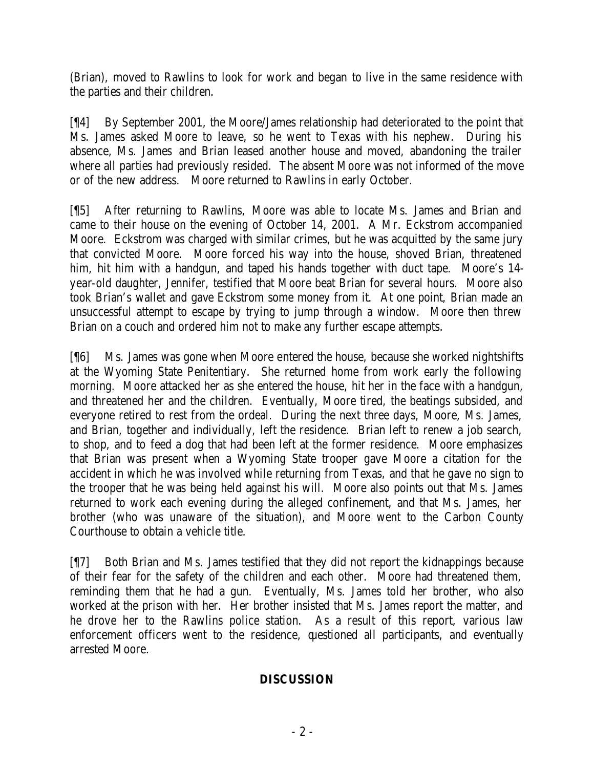(Brian), moved to Rawlins to look for work and began to live in the same residence with the parties and their children.

[¶4] By September 2001, the Moore/James relationship had deteriorated to the point that Ms. James asked Moore to leave, so he went to Texas with his nephew. During his absence, Ms. James and Brian leased another house and moved, abandoning the trailer where all parties had previously resided. The absent Moore was not informed of the move or of the new address. Moore returned to Rawlins in early October.

[¶5] After returning to Rawlins, Moore was able to locate Ms. James and Brian and came to their house on the evening of October 14, 2001. A Mr. Eckstrom accompanied Moore. Eckstrom was charged with similar crimes, but he was acquitted by the same jury that convicted Moore. Moore forced his way into the house, shoved Brian, threatened him, hit him with a handgun, and taped his hands together with duct tape. Moore's 14 year-old daughter, Jennifer, testified that Moore beat Brian for several hours. Moore also took Brian's wallet and gave Eckstrom some money from it. At one point, Brian made an unsuccessful attempt to escape by trying to jump through a window. Moore then threw Brian on a couch and ordered him not to make any further escape attempts.

[¶6] Ms. James was gone when Moore entered the house, because she worked nightshifts at the Wyoming State Penitentiary. She returned home from work early the following morning. Moore attacked her as she entered the house, hit her in the face with a handgun, and threatened her and the children. Eventually, Moore tired, the beatings subsided, and everyone retired to rest from the ordeal. During the next three days, Moore, Ms. James, and Brian, together and individually, left the residence. Brian left to renew a job search, to shop, and to feed a dog that had been left at the former residence. Moore emphasizes that Brian was present when a Wyoming State trooper gave Moore a citation for the accident in which he was involved while returning from Texas, and that he gave no sign to the trooper that he was being held against his will. Moore also points out that Ms. James returned to work each evening during the alleged confinement, and that Ms. James, her brother (who was unaware of the situation), and Moore went to the Carbon County Courthouse to obtain a vehicle title.

[¶7] Both Brian and Ms. James testified that they did not report the kidnappings because of their fear for the safety of the children and each other. Moore had threatened them, reminding them that he had a gun. Eventually, Ms. James told her brother, who also worked at the prison with her. Her brother insisted that Ms. James report the matter, and he drove her to the Rawlins police station. As a result of this report, various law enforcement officers went to the residence, questioned all participants, and eventually arrested Moore.

### **DISCUSSION**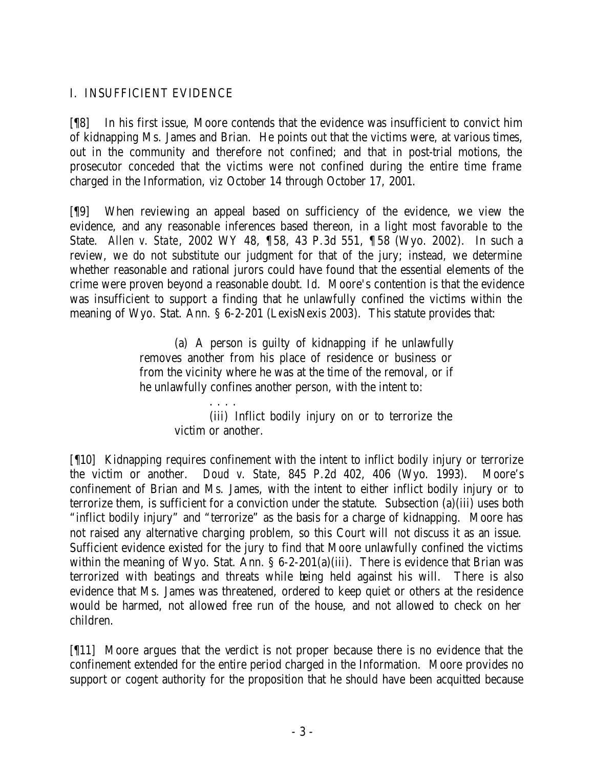## I. INSUFFICIENT EVIDENCE

[¶8] In his first issue, Moore contends that the evidence was insufficient to convict him of kidnapping Ms. James and Brian. He points out that the victims were, at various times, out in the community and therefore not confined; and that in post-trial motions, the prosecutor conceded that the victims were not confined during the entire time frame charged in the Information, *viz* October 14 through October 17, 2001.

[¶9] When reviewing an appeal based on sufficiency of the evidence, we view the evidence, and any reasonable inferences based thereon, in a light most favorable to the State. *Allen v. State*, 2002 WY 48, ¶58, 43 P.3d 551, ¶ 58 (Wyo. 2002). In such a review, we do not substitute our judgment for that of the jury; instead, we determine whether reasonable and rational jurors could have found that the essential elements of the crime were proven beyond a reasonable doubt. *Id*. Moore's contention is that the evidence was insufficient to support a finding that he unlawfully confined the victims within the meaning of Wyo. Stat. Ann. § 6-2-201 (LexisNexis 2003). This statute provides that:

> (a) A person is guilty of kidnapping if he unlawfully removes another from his place of residence or business or from the vicinity where he was at the time of the removal, or if he unlawfully confines another person, with the intent to:

> > . . . . (iii) Inflict bodily injury on or to terrorize the victim or another.

[¶10] Kidnapping requires confinement with the intent to inflict bodily injury or terrorize the victim or another. *Doud v. State*, 845 P.2d 402, 406 (Wyo. 1993). Moore's confinement of Brian and Ms. James, with the intent to either inflict bodily injury or to terrorize them, is sufficient for a conviction under the statute. Subsection (a)(iii) uses both "inflict bodily injury" and "terrorize" as the basis for a charge of kidnapping. Moore has not raised any alternative charging problem, so this Court will not discuss it as an issue. Sufficient evidence existed for the jury to find that Moore unlawfully confined the victims within the meaning of Wyo. Stat. Ann.  $\S 6$ -2-201(a)(iii). There is evidence that Brian was terrorized with beatings and threats while being held against his will. There is also evidence that Ms. James was threatened, ordered to keep quiet or others at the residence would be harmed, not allowed free run of the house, and not allowed to check on her children.

[¶11] Moore argues that the verdict is not proper because there is no evidence that the confinement extended for the entire period charged in the Information. Moore provides no support or cogent authority for the proposition that he should have been acquitted because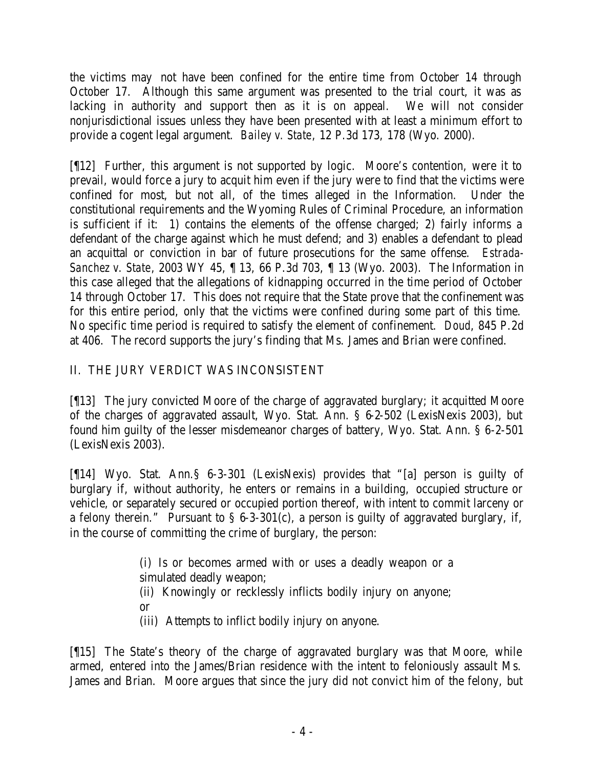the victims may not have been confined for the entire time from October 14 through October 17. Although this same argument was presented to the trial court, it was as lacking in authority and support then as it is on appeal. We will not consider nonjurisdictional issues unless they have been presented with at least a minimum effort to provide a cogent legal argument. *Bailey v. State*, 12 P.3d 173, 178 (Wyo. 2000).

[¶12] Further, this argument is not supported by logic. Moore's contention, were it to prevail, would force a jury to acquit him even if the jury were to find that the victims were confined for most, but not all, of the times alleged in the Information. Under the constitutional requirements and the Wyoming Rules of Criminal Procedure, an information is sufficient if it: 1) contains the elements of the offense charged; 2) fairly informs a defendant of the charge against which he must defend; and 3) enables a defendant to plead an acquittal or conviction in bar of future prosecutions for the same offense. *Estrada-Sanchez v. State*, 2003 WY 45, ¶ 13, 66 P.3d 703, ¶ 13 (Wyo. 2003). The Information in this case alleged that the allegations of kidnapping occurred in the time period of October 14 through October 17. This does not require that the State prove that the confinement was for this entire period, only that the victims were confined during some part of this time. No specific time period is required to satisfy the element of confinement. *Doud*, 845 P.2d at 406. The record supports the jury's finding that Ms. James and Brian were confined.

# II. THE JURY VERDICT WAS INCONSISTENT

[¶13] The jury convicted Moore of the charge of aggravated burglary; it acquitted Moore of the charges of aggravated assault, Wyo. Stat. Ann. § 6-2-502 (LexisNexis 2003), but found him guilty of the lesser misdemeanor charges of battery, Wyo. Stat. Ann. § 6-2-501 (LexisNexis 2003).

[¶14] Wyo. Stat. Ann.§ 6-3-301 (LexisNexis) provides that "[a] person is guilty of burglary if, without authority, he enters or remains in a building, occupied structure or vehicle, or separately secured or occupied portion thereof, with intent to commit larceny or a felony therein." Pursuant to  $\S$  6-3-301(c), a person is guilty of aggravated burglary, if, in the course of committing the crime of burglary, the person:

> (i) Is or becomes armed with or uses a deadly weapon or a simulated deadly weapon; (ii) Knowingly or recklessly inflicts bodily injury on anyone; or

(iii) Attempts to inflict bodily injury on anyone.

[¶15] The State's theory of the charge of aggravated burglary was that Moore, while armed, entered into the James/Brian residence with the intent to feloniously assault Ms. James and Brian. Moore argues that since the jury did not convict him of the felony, but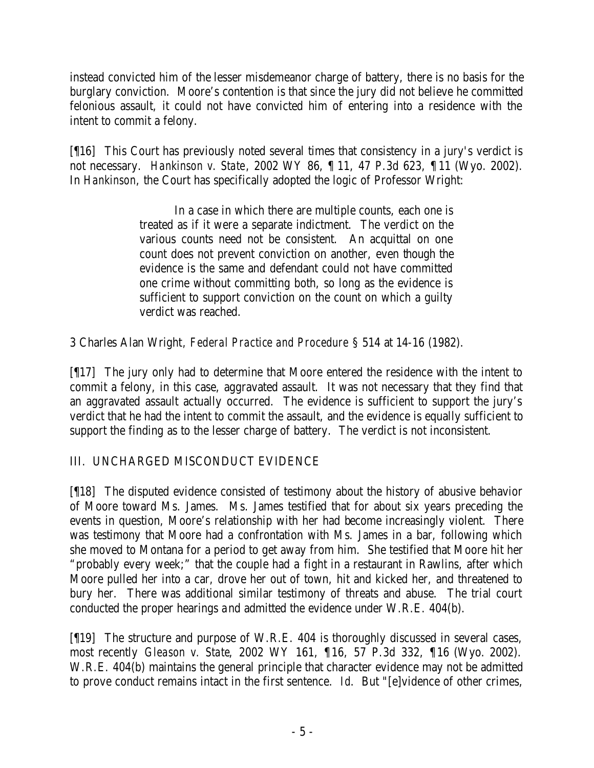instead convicted him of the lesser misdemeanor charge of battery, there is no basis for the burglary conviction. Moore's contention is that since the jury did not believe he committed felonious assault, it could not have convicted him of entering into a residence with the intent to commit a felony.

[¶16] This Court has previously noted several times that consistency in a jury's verdict is not necessary. *Hankinson v. State*, 2002 WY 86, ¶ 11, 47 P.3d 623, ¶ 11 (Wyo. 2002). In *Hankinson*, the Court has specifically adopted the logic of Professor Wright:

> In a case in which there are multiple counts, each one is treated as if it were a separate indictment. The verdict on the various counts need not be consistent. An acquittal on one count does not prevent conviction on another, even though the evidence is the same and defendant could not have committed one crime without committing both, so long as the evidence is sufficient to support conviction on the count on which a guilty verdict was reached.

3 Charles Alan Wright*, Federal Practice and Procedure* § 514 at 14-16 (1982).

[¶17] The jury only had to determine that Moore entered the residence with the intent to commit a felony, in this case, aggravated assault. It was not necessary that they find that an aggravated assault actually occurred. The evidence is sufficient to support the jury's verdict that he had the intent to commit the assault, and the evidence is equally sufficient to support the finding as to the lesser charge of battery. The verdict is not inconsistent.

# III. UNCHARGED MISCONDUCT EVIDENCE

[¶18] The disputed evidence consisted of testimony about the history of abusive behavior of Moore toward Ms. James. Ms. James testified that for about six years preceding the events in question, Moore's relationship with her had become increasingly violent. There was testimony that Moore had a confrontation with Ms. James in a bar, following which she moved to Montana for a period to get away from him. She testified that Moore hit her "probably every week;" that the couple had a fight in a restaurant in Rawlins, after which Moore pulled her into a car, drove her out of town, hit and kicked her, and threatened to bury her. There was additional similar testimony of threats and abuse. The trial court conducted the proper hearings and admitted the evidence under W.R.E. 404(b).

[¶19] The structure and purpose of W.R.E. 404 is thoroughly discussed in several cases, most recently *Gleason v. State*, 2002 WY 161, ¶16, 57 P.3d 332, ¶16 (Wyo. 2002). W.R.E. 404(b) maintains the general principle that character evidence may not be admitted to prove conduct remains intact in the first sentence. *Id*. But "[e]vidence of other crimes,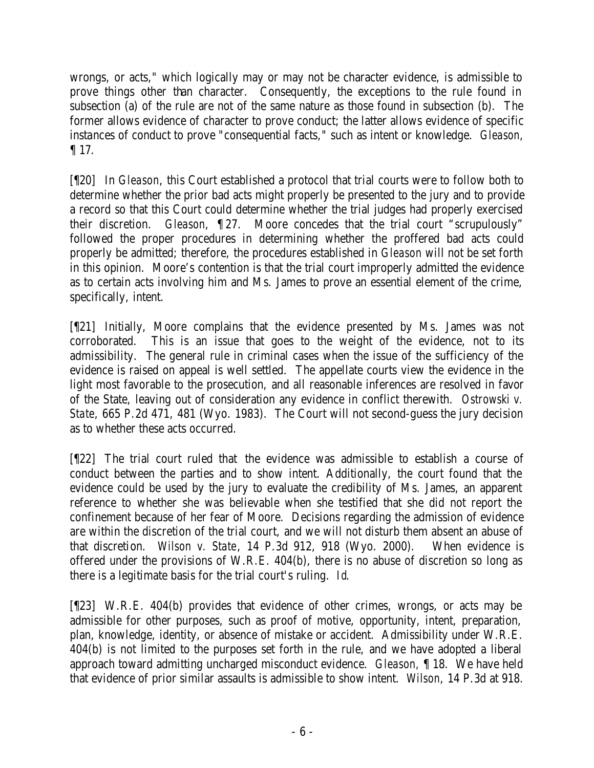wrongs, or acts," which logically may or may not be character evidence, is admissible to prove things other than character. Consequently, the exceptions to the rule found in subsection (a) of the rule are not of the same nature as those found in subsection (b). The former allows evidence of character to prove conduct; the latter allows evidence of specific instances of conduct to prove "consequential facts," such as intent or knowledge. *Gleason,*  ¶ 17.

[¶20] In *Gleason*, this Court established a protocol that trial courts were to follow both to determine whether the prior bad acts might properly be presented to the jury and to provide a record so that this Court could determine whether the trial judges had properly exercised their discretion. *Gleason*, ¶ 27. Moore concedes that the trial court "scrupulously" followed the proper procedures in determining whether the proffered bad acts could properly be admitted; therefore, the procedures established in *Gleason* will not be set forth in this opinion. Moore's contention is that the trial court improperly admitted the evidence as to certain acts involving him and Ms. James to prove an essential element of the crime, specifically, intent.

[¶21] Initially, Moore complains that the evidence presented by Ms. James was not corroborated. This is an issue that goes to the weight of the evidence, not to its admissibility. The general rule in criminal cases when the issue of the sufficiency of the evidence is raised on appeal is well settled. The appellate courts view the evidence in the light most favorable to the prosecution, and all reasonable inferences are resolved in favor of the State, leaving out of consideration any evidence in conflict therewith. *Ostrowski v. State*, 665 P.2d 471, 481 (Wyo. 1983). The Court will not second-guess the jury decision as to whether these acts occurred.

[¶22] The trial court ruled that the evidence was admissible to establish a course of conduct between the parties and to show intent. Additionally, the court found that the evidence could be used by the jury to evaluate the credibility of Ms. James, an apparent reference to whether she was believable when she testified that she did not report the confinement because of her fear of Moore. Decisions regarding the admission of evidence are within the discretion of the trial court, and we will not disturb them absent an abuse of that discretion. *Wilson v. State*, 14 P.3d 912, 918 (Wyo. 2000). When evidence is offered under the provisions of W.R.E. 404(b), there is no abuse of discretion so long as there is a legitimate basis for the trial court's ruling. *Id*.

[¶23] W.R.E. 404(b) provides that evidence of other crimes, wrongs, or acts may be admissible for other purposes, such as proof of motive, opportunity, intent, preparation, plan, knowledge, identity, or absence of mistake or accident. Admissibility under W.R.E. 404(b) is not limited to the purposes set forth in the rule, and we have adopted a liberal approach toward admitting uncharged misconduct evidence. *Gleason,* ¶ 18. We have held that evidence of prior similar assaults is admissible to show intent. *Wilson*, 14 P.3d at 918.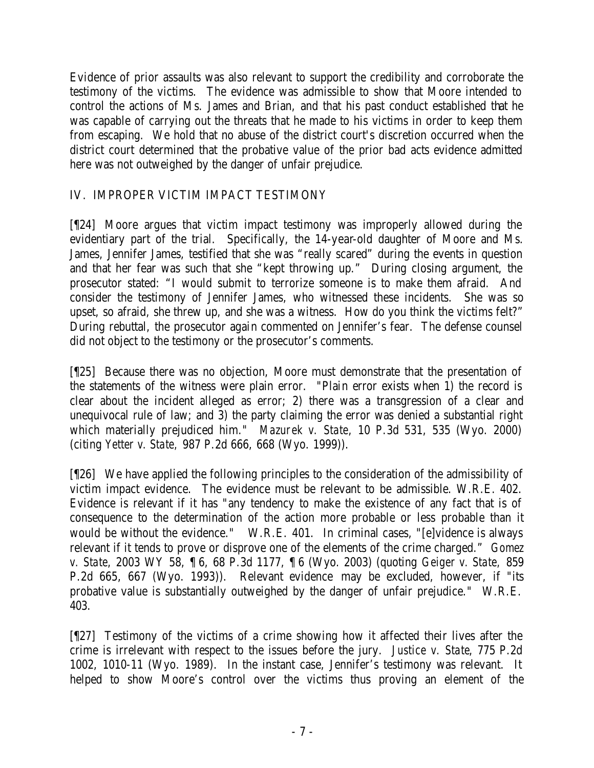Evidence of prior assaults was also relevant to support the credibility and corroborate the testimony of the victims. The evidence was admissible to show that Moore intended to control the actions of Ms. James and Brian, and that his past conduct established that he was capable of carrying out the threats that he made to his victims in order to keep them from escaping. We hold that no abuse of the district court's discretion occurred when the district court determined that the probative value of the prior bad acts evidence admitted here was not outweighed by the danger of unfair prejudice.

## IV. IMPROPER VICTIM IMPACT TESTIMONY

[¶24] Moore argues that victim impact testimony was improperly allowed during the evidentiary part of the trial. Specifically, the 14-year-old daughter of Moore and Ms. James, Jennifer James, testified that she was "really scared" during the events in question and that her fear was such that she "kept throwing up." During closing argument, the prosecutor stated: "I would submit to terrorize someone is to make them afraid. And consider the testimony of Jennifer James, who witnessed these incidents. She was so upset, so afraid, she threw up, and she was a witness. How do you think the victims felt?" During rebuttal, the prosecutor again commented on Jennifer's fear. The defense counsel did not object to the testimony or the prosecutor's comments.

[¶25] Because there was no objection, Moore must demonstrate that the presentation of the statements of the witness were plain error. "Plain error exists when 1) the record is clear about the incident alleged as error; 2) there was a transgression of a clear and unequivocal rule of law; and 3) the party claiming the error was denied a substantial right which materially prejudiced him." *Mazurek v. State*, 10 P.3d 531, 535 (Wyo. 2000) (citing *Yetter v. State,* 987 P.2d 666, 668 (Wyo. 1999)).

[¶26] We have applied the following principles to the consideration of the admissibility of victim impact evidence. The evidence must be relevant to be admissible. W.R.E. 402. Evidence is relevant if it has "any tendency to make the existence of any fact that is of consequence to the determination of the action more probable or less probable than it would be without the evidence." W.R.E. 401. In criminal cases, "[e]vidence is always relevant if it tends to prove or disprove one of the elements of the crime charged." *Gomez v. State*, 2003 WY 58, ¶ 6, 68 P.3d 1177, ¶ 6 (Wyo. 2003) (quoting *Geiger v. State,* 859 P.2d 665, 667 (Wyo. 1993)). Relevant evidence may be excluded, however, if "its probative value is substantially outweighed by the danger of unfair prejudice." W.R.E. 403.

[¶27] Testimony of the victims of a crime showing how it affected their lives after the crime is irrelevant with respect to the issues before the jury. *Justice v. State*, 775 P.2d 1002, 1010-11 (Wyo. 1989). In the instant case, Jennifer's testimony was relevant. It helped to show Moore's control over the victims thus proving an element of the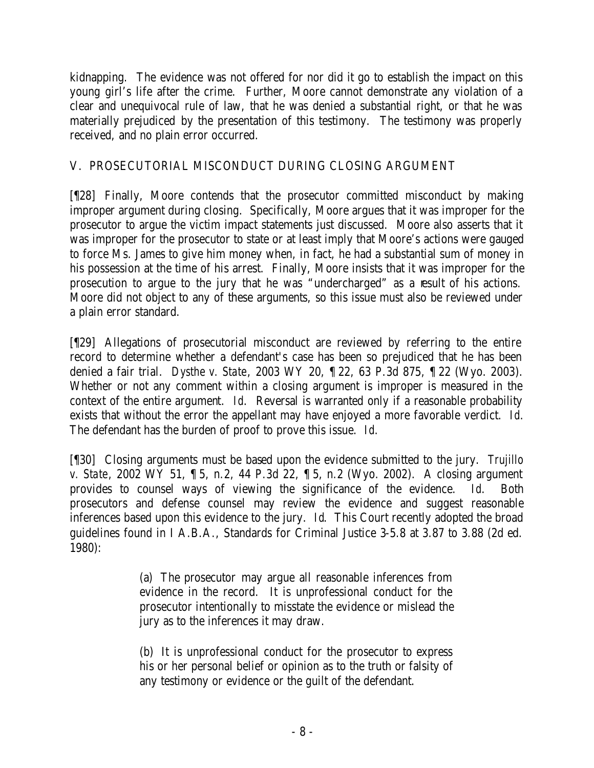kidnapping. The evidence was not offered for nor did it go to establish the impact on this young girl's life after the crime. Further, Moore cannot demonstrate any violation of a clear and unequivocal rule of law, that he was denied a substantial right, or that he was materially prejudiced by the presentation of this testimony. The testimony was properly received, and no plain error occurred.

## V. PROSECUTORIAL MISCONDUCT DURING CLOSING ARGUMENT

[¶28] Finally, Moore contends that the prosecutor committed misconduct by making improper argument during closing. Specifically, Moore argues that it was improper for the prosecutor to argue the victim impact statements just discussed. Moore also asserts that it was improper for the prosecutor to state or at least imply that Moore's actions were gauged to force Ms. James to give him money when, in fact, he had a substantial sum of money in his possession at the time of his arrest. Finally, Moore insists that it was improper for the prosecution to argue to the jury that he was "undercharged" as a result of his actions. Moore did not object to any of these arguments, so this issue must also be reviewed under a plain error standard.

[¶29] Allegations of prosecutorial misconduct are reviewed by referring to the entire record to determine whether a defendant's case has been so prejudiced that he has been denied a fair trial. *Dysthe v. State*, 2003 WY 20, ¶ 22, 63 P.3d 875, ¶ 22 (Wyo. 2003). Whether or not any comment within a closing argument is improper is measured in the context of the entire argument. *Id*. Reversal is warranted only if a reasonable probability exists that without the error the appellant may have enjoyed a more favorable verdict. *Id*. The defendant has the burden of proof to prove this issue. *Id*.

[¶30] Closing arguments must be based upon the evidence submitted to the jury. *Trujillo v. State*, 2002 WY 51, ¶ 5, n.2, 44 P.3d 22, ¶ 5, n.2 (Wyo. 2002). A closing argument provides to counsel ways of viewing the significance of the evidence. *Id*. Both prosecutors and defense counsel may review the evidence and suggest reasonable inferences based upon this evidence to the jury. *Id*. This Court recently adopted the broad guidelines found in I A.B.A., Standards for Criminal Justice 3-5.8 at 3.87 to 3.88 (2d ed. 1980):

> (a) The prosecutor may argue all reasonable inferences from evidence in the record. It is unprofessional conduct for the prosecutor intentionally to misstate the evidence or mislead the jury as to the inferences it may draw.

> (b) It is unprofessional conduct for the prosecutor to express his or her personal belief or opinion as to the truth or falsity of any testimony or evidence or the guilt of the defendant.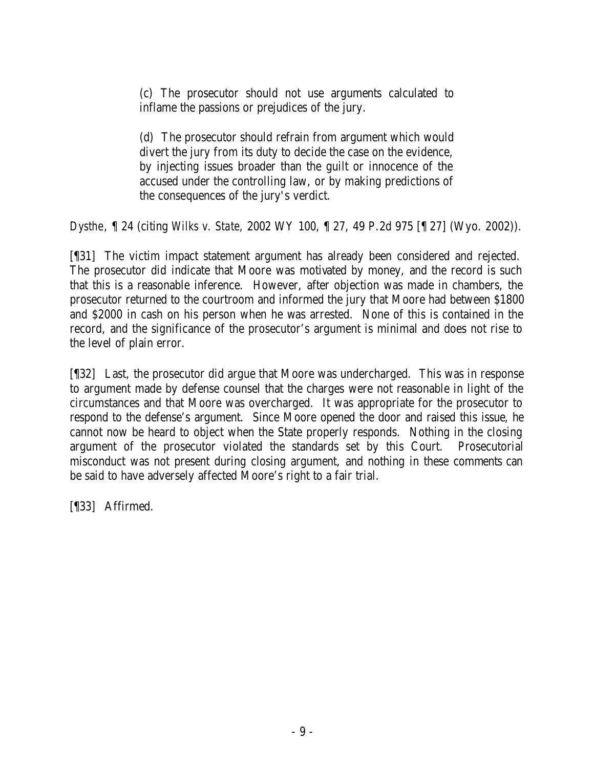(c) The prosecutor should not use arguments calculated to inflame the passions or prejudices of the jury.

(d) The prosecutor should refrain from argument which would divert the jury from its duty to decide the case on the evidence, by injecting issues broader than the guilt or innocence of the accused under the controlling law, or by making predictions of the consequences of the jury's verdict.

*Dysthe*, ¶ 24 (citing *Wilks v. State,* 2002 WY 100, ¶ 27, 49 P.2d 975 [¶ 27] (Wyo. 2002)).

[¶31] The victim impact statement argument has already been considered and rejected. The prosecutor did indicate that Moore was motivated by money, and the record is such that this is a reasonable inference. However, after objection was made in chambers, the prosecutor returned to the courtroom and informed the jury that Moore had between \$1800 and \$2000 in cash on his person when he was arrested. None of this is contained in the record, and the significance of the prosecutor's argument is minimal and does not rise to the level of plain error.

[¶32] Last, the prosecutor did argue that Moore was undercharged. This was in response to argument made by defense counsel that the charges were not reasonable in light of the circumstances and that Moore was overcharged. It was appropriate for the prosecutor to respond to the defense's argument. Since Moore opened the door and raised this issue, he cannot now be heard to object when the State properly responds. Nothing in the closing argument of the prosecutor violated the standards set by this Court. Prosecutorial misconduct was not present during closing argument, and nothing in these comments can be said to have adversely affected Moore's right to a fair trial.

[¶33] Affirmed.